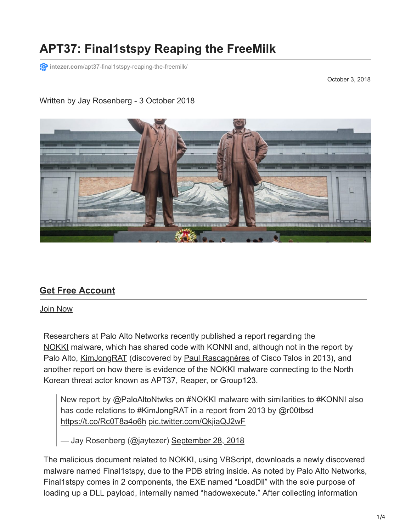# **APT37: Final1stspy Reaping the FreeMilk**

**intezer.com**[/apt37-final1stspy-reaping-the-freemilk/](https://www.intezer.com/apt37-final1stspy-reaping-the-freemilk/)

October 3, 2018

#### Written by Jay Rosenberg - 3 October 2018



### **[Get Free Account](https://analyze.intezer.com/)**

Join Now

Researchers at Palo Alto Networks recently published a report regarding the [NOKKI](https://researchcenter.paloaltonetworks.com/2018/09/unit42-new-konni-malware-attacking-eurasia-southeast-asia/) malware, which has shared code with KONNI and, although not in the report by Palo Alto, [KimJongRAT](https://malware.lu/assets/files/articles/RAP003_KimJongRAT-Stealer_Analysis.1.0.pdf) (discovered by [Paul Rascagnères](https://twitter.com/r00tbsd) of Cisco Talos in 2013), and [another report on how there is evidence of the NOKKI malware connecting to the North](https://researchcenter.paloaltonetworks.com/2018/10/unit42-nokki-almost-ties-the-knot-with-dogcall-reaper-group-uses-new-malware-to-deploy-rat/) Korean threat actor known as APT37, Reaper, or Group123.

New report by [@PaloAltoNtwks](https://twitter.com/PaloAltoNtwks?ref_src=twsrc%5Etfw) on [#NOKKI](https://twitter.com/hashtag/NOKKI?src=hash&ref_src=twsrc%5Etfw) malware with similarities to [#KONNI](https://twitter.com/hashtag/KONNI?src=hash&ref_src=twsrc%5Etfw) also has code relations to [#KimJongRAT](https://twitter.com/hashtag/KimJongRAT?src=hash&ref_src=twsrc%5Etfw) in a report from 2013 by [@r00tbsd](https://twitter.com/r00tbsd?ref_src=twsrc%5Etfw) <https://t.co/Rc0T8a4o6h> [pic.twitter.com/QkjiaQJ2wF](https://t.co/QkjiaQJ2wF)

— Jay Rosenberg (@jaytezer) [September 28, 2018](https://twitter.com/jaytezer/status/1045670058704478208?ref_src=twsrc%5Etfw)

The malicious document related to NOKKI, using VBScript, downloads a newly discovered malware named Final1stspy, due to the PDB string inside. As noted by Palo Alto Networks, Final1stspy comes in 2 components, the EXE named "LoadDll" with the sole purpose of loading up a DLL payload, internally named "hadowexecute." After collecting information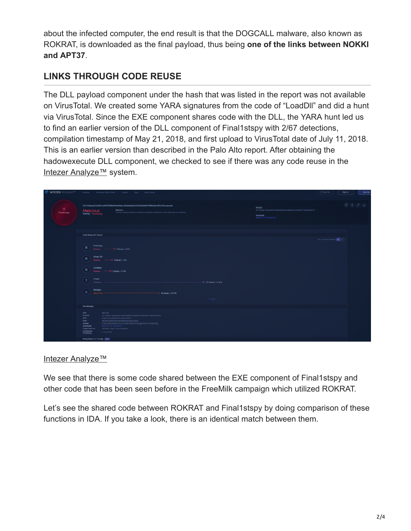about the infected computer, the end result is that the DOGCALL malware, also known as ROKRAT, is downloaded as the final payload, thus being **one of the links between NOKKI and APT37**.

## **LINKS THROUGH CODE REUSE**

The DLL payload component under the hash that was listed in the report was not available on VirusTotal. We created some YARA signatures from the code of "LoadDll" and did a hunt via VirusTotal. Since the EXE component shares code with the DLL, the YARA hunt led us to find an earlier version of the DLL component of Final1stspy with 2/67 detections, compilation timestamp of May 21, 2018, and first upload to VirusTotal date of July 11, 2018. This is an earlier version than described in the Palo Alto report. After obtaining the hadowexecute DLL component, we checked to see if there was any code reuse in the [Intezer Analyze™](https://analyze.intezer.com/#/files/2011b9aa61d280ca9397398434af94ec26ddb6ab51f5db269f1799b46cf65a76) system.

| <b>P INTEZER</b> Analyze <sup>TM</sup> | Examples   Enterprise Edition Plans   Support   Blog   About Integer                                                                                                                                                                                                                                                                                                                                                                                                                   | 土 Now File            | Sign In<br>Sign Up                                                                              |
|----------------------------------------|----------------------------------------------------------------------------------------------------------------------------------------------------------------------------------------------------------------------------------------------------------------------------------------------------------------------------------------------------------------------------------------------------------------------------------------------------------------------------------------|-----------------------|-------------------------------------------------------------------------------------------------|
| 意<br>Finaltstspy                       | 2011b9aa61d280ca9397398434af94ec26ddb6ab51f5db269f1799b46cf65a76.sample<br>SHA256:<br>2011b9aa61d280ca9997998434af94ec26ddb6ab51f5db269f1799b46cf65a76<br>Malicious<br>Malicious<br>This file contains code from malicious software, therefore it's very likely that it's malicious.<br>Family: Finalistspy<br>virustotal<br>Report (2 / 67 Detections)                                                                                                                                |                       | $\left( \mathbf{C}\right) \left( \phi\right) \left( \mathbf{A}\right) \left( \mathbf{A}\right)$ |
|                                        | Code Reuse (267 Genes)<br><b>Rnal1stspy</b><br>田<br>$0.7$ Genes   2.62%<br>Malesre<br>$\widehat{\mathbf{a}}$<br>Group 123<br>$\longrightarrow$ 4 Gms   1.5%<br>Malware<br>CoinMiner<br>⊛<br>$-0.2$ Gmes   0.75%<br><b>Malware</b><br>$\sqrt{2}$<br>Unique<br>$-6$ 121 Genes   45.32%<br>Unknown<br>Manalyze<br>$\mathbb Z$<br>64 Genes   23.97%<br><b>Administration</b><br>$+1$ more                                                                                                  | 1,417 Common Genes (X |                                                                                                 |
|                                        | File Metadata<br>Size<br>238.5 KB<br><b>SHA256</b><br>2011b9aa61d280ca9397398434af94ec26ddb6ab51f9db269f1799b46cf85a76<br>0dd50c4a5aa9899604cb4cf95acd981e<br>MDS<br>38f28bfce4d0b2b497e6cf568d08a2b6af244653<br><b>SHAT</b><br>6144.0y2t9veOaPPDmv51crOQdFv28AO3LkrfgCgsEPDmv51cRQdrtrfg<br>sadeep<br>virustotal<br>Report (2 / 67 Detec<br><b>Target Machine</b><br>Intel 386 or later, and compatibles<br>Compilation<br>Timestamp<br>21 May 2018<br>String Reuse (147 Strings) BER |                       |                                                                                                 |

### [Intezer Analyze™](https://analyze.intezer.com/#/files/2011b9aa61d280ca9397398434af94ec26ddb6ab51f5db269f1799b46cf65a76)

We see that there is some code shared between the EXE component of Final1stspy and other code that has been seen before in the FreeMilk campaign which utilized ROKRAT.

Let's see the shared code between ROKRAT and Final1stspy by doing comparison of these functions in IDA. If you take a look, there is an identical match between them.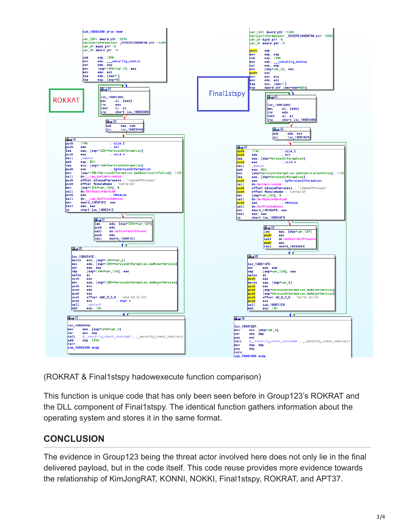

(ROKRAT & Final1stspy hadowexecute function comparison)

This function is unique code that has only been seen before in Group123's ROKRAT and the DLL component of Final1stspy. The identical function gathers information about the operating system and stores it in the same format.

### **CONCLUSION**

The evidence in Group123 being the threat actor involved here does not only lie in the final delivered payload, but in the code itself. This code reuse provides more evidence towards the relationship of KimJongRAT, KONNI, NOKKI, Final1stspy, ROKRAT, and APT37.